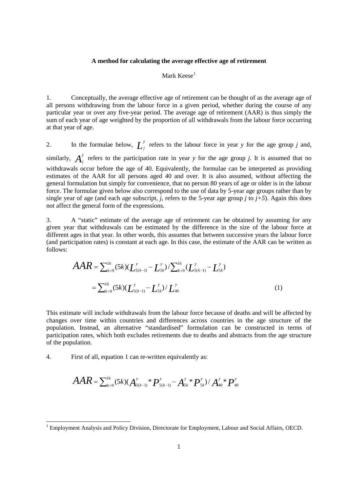## **A method for calculating the average effective age of retirement**

## Mark  $Kese<sup>1</sup>$  $Kese<sup>1</sup>$  $Kese<sup>1</sup>$

1. Conceptually, the average effective age of retirement can be thought of as the average age of all persons withdrawing from the labour force in a given period, whether during the course of any particular year or over any five-year period. The average age of retirement (AAR) is thus simply the sum of each year of age weighted by the proportion of all withdrawals from the labour force occurring at that year of age.

2. In the formulae below,  $\frac{L}{j}$  refers to the labour force in year *y* for the age group *j* and, similarly,  $A_j^y$  refers to the participation rate in year *y* for the age group *j*. It is assumed that no withdrawals occur before the age of 40. Equivalently, the formulae can be interpreted as providing estimates of the AAR for all persons aged 40 and over. It is also assumed, without affecting the general formulation but simply for convenience, that no person 80 years of age or older is in the labour force. The formulae given below also correspond to the use of data by 5-year age groups rather than by single year of age (and each age subscript, *j*, refers to the 5-year age group *j* to  $j+5$ ). Again this does not affect the general form of the expressions.

3. A "static" estimate of the average age of retirement can be obtained by assuming for any given year that withdrawals can be estimated by the difference in the size of the labour force at different ages in that year. In other words, this assumes that between successive years the labour force (and participation rates) is constant at each age. In this case, the estimate of the AAR can be written as follows:

$$
AAR = \sum_{k=9}^{16} (5k)(L_{5(k-1)}^y - L_{5k}^y) / \sum_{k=9}^{16} (L_{5(k-1)}^y - L_{5k}^y)
$$
  
= 
$$
\sum_{k=9}^{16} (5k)(L_{5(k-1)}^y - L_{5k}^y) / L_{40}^y
$$
 (1)

This estimate will include withdrawals from the labour force because of deaths and will be affected by changes over time within countries and differences across countries in the age structure of the population. Instead, an alternative "standardised" formulation can be constructed in terms of participation rates, which both excludes retirements due to deaths and abstracts from the age structure of the population.

4. First of all, equation 1 can re-written equivalently as:

$$
AAR = \sum_{k=9}^{16} (5k)(A_{5(k-1)}^y \cdot P_{5(k-1)}^y - A_{5k}^y \cdot P_{5k}^y) / A_{40}^y \cdot P_{40}^y
$$

<span id="page-0-0"></span><sup>&</sup>lt;sup>1</sup> Employment Analysis and Policy Division, Directorate for Employment, Labour and Social Affairs, OECD.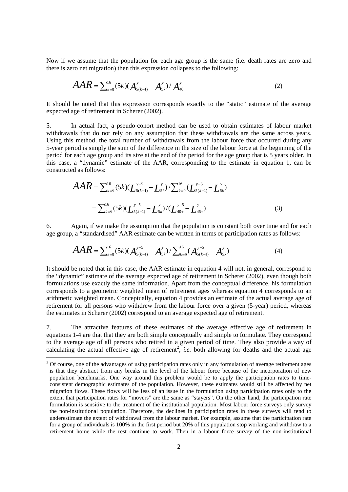Now if we assume that the population for each age group is the same (i.e. death rates are zero and there is zero net migration) then this expression collapses to the following:

$$
AAR = \sum_{k=9}^{16} (5k)(A_{5(k-1)}^y - A_{5k}^y) / A_{40}^y
$$
 (2)

It should be noted that this expression corresponds exactly to the "static" estimate of the average expected age of retirement in Scherer (2002).

5. In actual fact, a pseudo-cohort method can be used to obtain estimates of labour market withdrawals that do not rely on any assumption that these withdrawals are the same across years. Using this method, the total number of withdrawals from the labour force that occurred during any 5-year period is simply the sum of the difference in the size of the labour force at the beginning of the period for each age group and its size at the end of the period for the age group that is 5 years older. In this case, a "dynamic" estimate of the AAR, corresponding to the estimate in equation 1, can be constructed as follows:

$$
AAR = \sum_{k=9}^{16} (5k)(L_{5(k-1)}^{y-5} - L_{5k}^{y}) / \sum_{k=9}^{16} (L_{5(k-1)}^{y-5} - L_{5k}^{y})
$$
  
= 
$$
\sum_{k=9}^{16} (5k)(L_{5(k-1)}^{y-5} - L_{5k}^{y}) / (L_{40+}^{y-5} - L_{45+}^{y})
$$
(3)

6. Again, if we make the assumption that the population is constant both over time and for each age group, a "standardised" AAR estimate can be written in terms of participation rates as follows:

$$
AAR = \sum_{k=9}^{16} (5k)(A_{5(k-1)}^{y-5} - A_{5k}^{y}) / \sum_{k=9}^{16} (A_{5(k-1)}^{y-5} - A_{5k}^{y})
$$
(4)

It should be noted that in this case, the AAR estimate in equation 4 will not, in general, correspond to the "dynamic" estimate of the average expected age of retirement in Scherer (2002), even though both formulations use exactly the same information. Apart from the conceptual difference, his formulation corresponds to a geometric weighted mean of retirement ages whereas equation 4 corresponds to an arithmetic weighted mean. Conceptually, equation 4 provides an estimate of the actual average age of retirement for all persons who withdrew from the labour force over a given (5-year) period, whereas the estimates in Scherer (2002) correspond to an average expected age of retirement.

7. The attractive features of these estimates of the average effective age of retirement in equations 1-4 are that that they are both simple conceptually and simple to formulate. They correspond to the average age of all persons who retired in a given period of time. They also provide a way of calculating the actual effective age of retirement<sup>[2](#page-1-0)</sup>, *i.e.* both allowing for deaths and the actual age

<span id="page-1-0"></span> $2$  Of course, one of the advantages of using participation rates only in any formulation of average retirement ages is that they abstract from any breaks in the level of the labour force because of the incorporation of new population benchmarks. One way around this problem would be to apply the participation rates to timeconsistent demographic estimates of the population. However, these estimates would still be affected by net migration flows. These flows will be less of an issue in the formulation using participation rates only to the extent that participation rates for "movers" are the same as "stayers". On the other hand, the participation rate formulation is sensitive to the treatment of the institutional population. Most labour force surveys only survey the non-institutional population. Therefore, the declines in participation rates in these surveys will tend to underestimate the extent of withdrawal from the labour market. For example, assume that the participation rate for a group of individuals is 100% in the first period but 20% of this population stop working and withdraw to a retirement home while the rest continue to work. Then in a labour force survey of the non-institutional